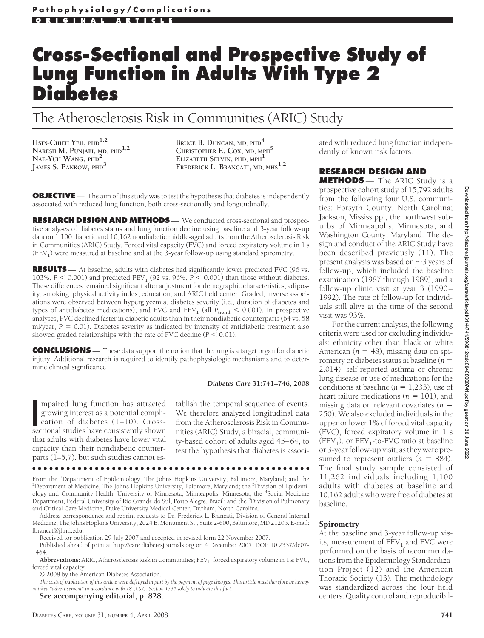# **Cross-Sectional and Prospective Study of Lung Function in Adults With Type 2 Diabetes**

## The Atherosclerosis Risk in Communities (ARIC) Study

**HSIN-CHIEH YEH, PHD1,2 NARESH M. PUNJABI, MD, PHD1,2 NAE-YUH WANG, PHD<sup>2</sup> JAMES S. PANKOW, PHD<sup>3</sup>**

**BRUCE B. DUNCAN, MD, PHD<sup>4</sup> CHRISTOPHER E. COX, MD, MPH<sup>5</sup> ELIZABETH SELVIN, PHD, MPH<sup>1</sup> FREDERICK L. BRANCATI, MD, MHS1,2**

**OBJECTIVE** — The aim of this study was to test the hypothesis that diabetes is independently associated with reduced lung function, both cross-sectionally and longitudinally.

**RESEARCH DESIGN AND METHODS** — We conducted cross-sectional and prospective analyses of diabetes status and lung function decline using baseline and 3-year follow-up data on 1,100 diabetic and 10,162 nondiabetic middle-aged adults from the Atherosclerosis Risk in Communities (ARIC) Study. Forced vital capacity (FVC) and forced expiratory volume in 1 s  $(FEV<sub>1</sub>)$  were measured at baseline and at the 3-year follow-up using standard spirometry.

**RESULTS** — At baseline, adults with diabetes had significantly lower predicted FVC (96 vs. 103%,  $P < 0.001$ ) and predicted FEV<sub>1</sub> (92 vs. 96%,  $P < 0.001$ ) than those without diabetes. These differences remained significant after adjustment for demographic characteristics, adiposity, smoking, physical activity index, education, and ARIC field center. Graded, inverse associations were observed between hyperglycemia, diabetes severity (i.e., duration of diabetes and types of antidiabetes medications), and FVC and FEV<sub>1</sub> (all  $P_{trend} < 0.001$ ). In prospective analyses, FVC declined faster in diabetic adults than in their nondiabetic counterparts (64 vs. 58 ml/year,  $P = 0.01$ ). Diabetes severity as indicated by intensity of antidiabetic treatment also showed graded relationships with the rate of FVC decline  $(P < 0.01)$ .

**CONCLUSIONS** — These data support the notion that the lung is a target organ for diabetic injury. Additional research is required to identify pathophysiologic mechanisms and to determine clinical significance.

### *Diabetes Care* **31:741–746, 2008**

mpaired lung function has attracted<br>growing interest as a potential compli-<br>cation of diabetes (1–10). Cross-<br>sectional studies have consistently shown mpaired lung function has attracted growing interest as a potential complication of diabetes (1–10). Crossthat adults with diabetes have lower vital capacity than their nondiabetic counterparts (1–5,7), but such studies cannot es-

tablish the temporal sequence of events. We therefore analyzed longitudinal data from the Atherosclerosis Risk in Communities (ARIC) Study, a biracial, community-based cohort of adults aged 45–64, to test the hypothesis that diabetes is associ-

From the <sup>1</sup>Department of Epidemiology, The Johns Hopkins University, Baltimore, Maryland; and the <sup>2</sup>Department of Medicine, The Johns Hopkins University, Baltimore, Maryland; the <sup>3</sup>Division of Epidemi Department of Medicine, The Johns Hopkins University, Baltimore, Maryland; the <sup>3</sup>Division of Epidemiology and Community Health, University of Minnesota, Minneapolis, Minnesota; the <sup>4</sup>Social Medicine Department, Federal University of Rio Grande do Sul, Porto Alegre, Brazil; and the <sup>5</sup>Division of Pulmonary and Critical Care Medicine, Duke University Medical Center, Durham, North Carolina.

●●●●●●●●●●●●●●●●●●●●●●●●●●●●●●●●●●●●●●●●●●●●●●●●●

Address correspondence and reprint requests to Dr. Frederick L. Brancati, Division of General Internal Medicine, The Johns Hopkins University, 2024 E. Monument St., Suite 2-600, Baltimore, MD 21205. E-mail: fbrancat@jhmi.edu.

Received for publication 29 July 2007 and accepted in revised form 22 November 2007.

Published ahead of print at http://care.diabetesjournals.org on 4 December 2007. DOI: 10.2337/dc07- 1464.

Abbreviations: ARIC, Atherosclerosis Risk in Communities; FEV<sub>1</sub>, forced expiratory volume in 1 s; FVC, forced vital capacity.

© 2008 by the American Diabetes Association.

*The costs of publication of this article were defrayed in part by the payment of page charges. This article must therefore be hereby marked "advertisement" in accordance with 18 U.S.C. Section 1734 solely to indicate this fact.*

### **See accompanying editorial, p. 828.**

Downloaded from http://diabetesjournals.org/care/article-pdf/31/4/741/598812/zd600408000741.pdf by guest on 30 June Downloaded from http://diabetesjournals.org/care/article-pdf/31/4/741/598812/zdc00408000741.pdf by guest on 30 June 20222022

ated with reduced lung function independently of known risk factors.

### **RESEARCH DESIGN AND**

**METHODS** — The ARIC Study is a prospective cohort study of 15,792 adults from the following four U.S. communities: Forsyth County, North Carolina; Jackson, Mississippi; the northwest suburbs of Minneapolis, Minnesota; and Washington County, Maryland. The design and conduct of the ARIC Study have been described previously (11). The present analysis was based on  $\sim$  3 years of follow-up, which included the baseline examination (1987 through 1989), and a follow-up clinic visit at year 3 (1990– 1992). The rate of follow-up for individuals still alive at the time of the second visit was 93%.

For the current analysis, the following criteria were used for excluding individuals: ethnicity other than black or white American ( $n = 48$ ), missing data on spirometry or diabetes status at baseline (*n* - 2,014), self-reported asthma or chronic lung disease or use of medications for the conditions at baseline  $(n = 1,233)$ , use of heart failure medications  $(n = 101)$ , and missing data on relevant covariates ( $n =$ 250). We also excluded individuals in the upper or lower 1% of forced vital capacity (FVC), forced expiratory volume in 1 s  $(FEV<sub>1</sub>)$ , or  $FEV<sub>1</sub>$ -to-FVC ratio at baseline or 3-year follow-up visit, as they were presumed to represent outliers  $(n = 884)$ . The final study sample consisted of 11,262 individuals including 1,100 adults with diabetes at baseline and 10,162 adults who were free of diabetes at baseline.

### **Spirometry**

At the baseline and 3-year follow-up visits, measurement of  $FEV<sub>1</sub>$  and FVC were performed on the basis of recommendations from the Epidemiology Standardization Project (12) and the American Thoracic Society (13). The methodology was standardized across the four field centers. Quality control and reproducibil-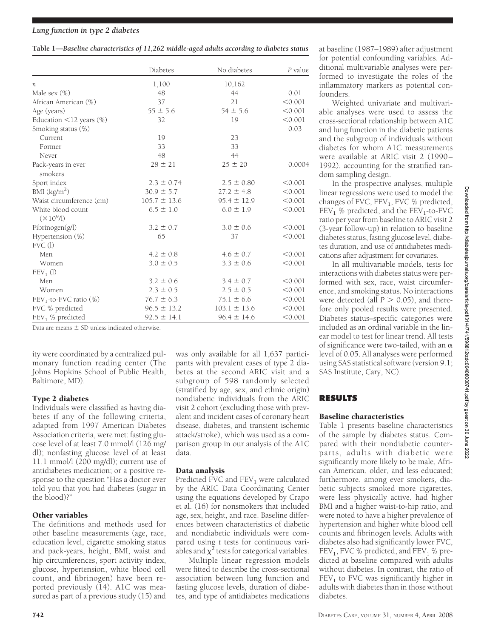### *Lung function in type 2 diabetes*

| Table 1-Baseline characteristics of 11,262 middle-aged adults according to diabetes status |  |  |
|--------------------------------------------------------------------------------------------|--|--|
|                                                                                            |  |  |

|                                        | Diabetes         | No diabetes      | P value |
|----------------------------------------|------------------|------------------|---------|
| п                                      | 1,100            | 10,162           |         |
| Male sex $(\%)$                        | 48               | 44               | 0.01    |
| African American (%)                   | 37               | 21               | < 0.001 |
| Age (years)                            | $55 \pm 5.6$     | $54 \pm 5.6$     | < 0.001 |
| Education $\leq$ 12 years (%)          | 32               | 19               | < 0.001 |
| Smoking status (%)                     |                  |                  | 0.03    |
| Current                                | 19               | 23               |         |
| Former                                 | 33               | 33               |         |
| Never                                  | 48               | 44               |         |
| Pack-years in ever<br>smokers          | $28 \pm 21$      | $25 \pm 20$      | 0.0004  |
| Sport index                            | $2.3 \pm 0.74$   | $2.5 \pm 0.80$   | < 0.001 |
| BMI $(kg/m2)$                          | $30.9 \pm 5.7$   | $27.2 \pm 4.8$   | < 0.001 |
| Waist circumference (cm)               | $105.7 \pm 13.6$ | $95.4 \pm 12.9$  | < 0.001 |
| White blood count<br>$(\times 10^9/1)$ | $6.5 \pm 1.0$    | $6.0 \pm 1.9$    | < 0.001 |
| Fibrinogen(g/l)                        | $3.2 \pm 0.7$    | $3.0 \pm 0.6$    | < 0.001 |
| Hypertension (%)<br>FVC(1)             | 65               | 37               | < 0.001 |
| Men                                    | $4.2 \pm 0.8$    | $4.6 \pm 0.7$    | < 0.001 |
| Women                                  | $3.0 \pm 0.5$    | $3.3 \pm 0.6$    | < 0.001 |
| $FEV1$ (l)                             |                  |                  |         |
| Men                                    | $3.2 \pm 0.6$    | $3.4 \pm 0.7$    | < 0.001 |
| Women                                  | $2.3 \pm 0.5$    | $2.5 \pm 0.5$    | < 0.001 |
| $FEV_1$ -to-FVC ratio $(\%)$           | $76.7 \pm 6.3$   | $75.1 \pm 6.6$   | < 0.001 |
| FVC % predicted                        | $96.5 \pm 13.2$  | $103.1 \pm 13.6$ | < 0.001 |
| $FEV1$ % predicted                     | $92.5 \pm 14.1$  | $96.4 \pm 14.6$  | < 0.001 |

Data are means  $\pm$  SD unless indicated otherwise.

ity were coordinated by a centralized pulmonary function reading center (The Johns Hopkins School of Public Health, Baltimore, MD).

### Type 2 diabetes

Individuals were classified as having diabetes if any of the following criteria, adapted from 1997 American Diabetes Association criteria, were met: fasting glucose level of at least 7.0 mmol/l (126 mg/ dl); nonfasting glucose level of at least 11.1 mmol/l (200 mg/dl); current use of antidiabetes medication; or a positive response to the question "Has a doctor ever told you that you had diabetes (sugar in the blood)?"

### Other variables

The definitions and methods used for other baseline measurements (age, race, education level, cigarette smoking status and pack-years, height, BMI, waist and hip circumferences, sport activity index, glucose, hypertension, white blood cell count, and fibrinogen) have been reported previously (14). A1C was measured as part of a previous study (15) and

was only available for all 1,637 participants with prevalent cases of type 2 diabetes at the second ARIC visit and a subgroup of 598 randomly selected (stratified by age, sex, and ethnic origin) nondiabetic individuals from the ARIC visit 2 cohort (excluding those with prevalent and incident cases of coronary heart disease, diabetes, and transient ischemic attack/stroke), which was used as a comparison group in our analysis of the A1C data.

### Data analysis

Predicted FVC and  $FEV<sub>1</sub>$  were calculated by the ARIC Data Coordinating Center using the equations developed by Crapo et al. (16) for nonsmokers that included age, sex, height, and race. Baseline differences between characteristics of diabetic and nondiabetic individuals were compared using *t* tests for continuous variables and  $\chi^2$  tests for categorical variables.

Multiple linear regression models were fitted to describe the cross-sectional association between lung function and fasting glucose levels, duration of diabetes, and type of antidiabetes medications at baseline (1987–1989) after adjustment for potential confounding variables. Additional multivariable analyses were performed to investigate the roles of the inflammatory markers as potential confounders.

Weighted univariate and multivariable analyses were used to assess the cross-sectional relationship between A1C and lung function in the diabetic patients and the subgroup of individuals without diabetes for whom A1C measurements were available at ARIC visit 2 (1990– 1992), accounting for the stratified random sampling design.

In the prospective analyses, multiple linear regressions were used to model the changes of FVC,  $FEV<sub>1</sub>$ , FVC % predicted,  $FEV<sub>1</sub>$  % predicted, and the  $FEV<sub>1</sub>$ -to-FVC ratio per year from baseline to ARIC visit 2 (3-year follow-up) in relation to baseline diabetes status, fasting glucose level, diabetes duration, and use of antidiabetes medications after adjustment for covariates.

In all multivariable models, tests for interactions with diabetes status were performed with sex, race, waist circumference, and smoking status. No interactions were detected (all  $P > 0.05$ ), and therefore only pooled results were presented. Diabetes status–specific categories were included as an ordinal variable in the linear model to test for linear trend. All tests of significance were two-tailed, with an  $\alpha$ level of 0.05. All analyses were performed using SAS statistical software (version 9.1; SAS Institute, Cary, NC).

### **RESULTS**

### Baseline characteristics

Table 1 presents baseline characteristics of the sample by diabetes status. Compared with their nondiabetic counterparts, adults with diabetic were significantly more likely to be male, African American, older, and less educated; furthermore, among ever smokers, diabetic subjects smoked more cigarettes, were less physically active, had higher BMI and a higher waist-to-hip ratio, and were noted to have a higher prevalence of hypertension and higher white blood cell counts and fibrinogen levels. Adults with diabetes also had significantly lower FVC,  $FEV<sub>1</sub>$ , FVC % predicted, and  $FEV<sub>1</sub>$  % predicted at baseline compared with adults without diabetes. In contrast, the ratio of  $FEV<sub>1</sub>$  to FVC was significantly higher in adults with diabetes than in those without diabetes.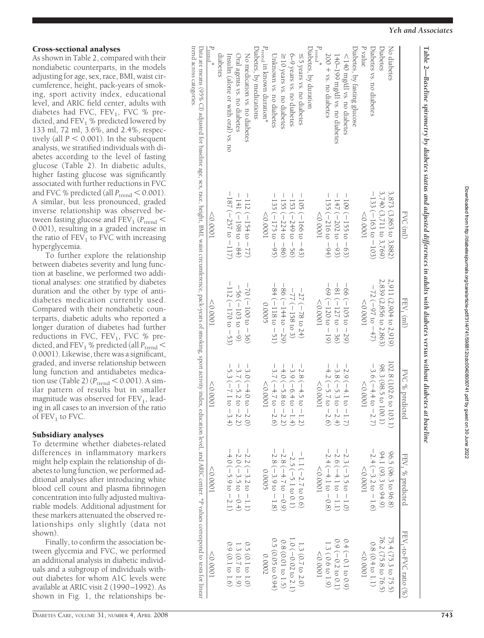# Downloaded from http://diabetesjournals.org/care/artiole-pdf/31/4/741/598812/zdc00408000741, pdf by guest on 30 June 2022 Downloaded from http://diabetesjournals.org/care/article-pdf/31/4/741/598812/zdc00408000741.pdf by guest on 30 June 2022

|                                       | FVC (ml)                    | FEV <sub>1</sub> $(m)$     | FVC % predicted                                       | FEV <sub>1</sub> % predicted  | FEV <sub>1</sub> -to-FVC ratio (%) |
|---------------------------------------|-----------------------------|----------------------------|-------------------------------------------------------|-------------------------------|------------------------------------|
| No diabetes                           | 3,873 (3,863 to 3,882)      | 2,911 (2,904 to 2,919)     | 102.8 (102.6 to 103.1)                                | 96.5 (96.3 to 96.8)           | 75.4 (75.3 to 75.5)                |
| Diabetes                              | 3,740 (3,711 to 3,769)      | 2,839 (2,856 to 2,863)     | 98.3 (98.5 to 100.1)                                  | 94.1 (93.3 to 94.9)           | 76.2 (75.8 to 76.5)                |
| Diabetes vs. no diabetes              | $-133$ ( $-163$ to $-103$ ) | $-72$ (-97 to $-47$ )      | $-3.6$ ( $-4.4$ to $-2.7$ )                           | $-2.4$ (-3.2 to -1.6)         | $0.8(0.4 \text{ to } 1.1)$         |
| P value                               | $10000 =$                   | 10000                      | 10000                                                 | $10000 =$                     | 1000C                              |
| Diabetes, by fasting glucose          |                             |                            |                                                       |                               |                                    |
| $\leq$ 140 mg/dl vs. no diabetes      | $-100$ ( $-150$ to $-00$ )  | $-66$ ( $-105$ to $-29$ )  | $-2.9$ ( $-4.1$ to $-1.7$ )                           | $-2.3$ (-3.5 to $-1.0$ )      | $0.4(-0.1 \text{ to } 0.9)$        |
| 140–199 mg/dl vs. no diabetes         | $-147$ ( $-202$ to $-93$ )  | $-81$ ( $-127$ to $-36$ )  | $-3.8$ ( $-5.3$ to $-2.4$ )                           | $-2.6(-4.1 \text{ to } -1.1)$ | $0.9 (-0.2 \text{ to } 0.1)$       |
| 200 + vs. no diabetes                 | $-155$ ( $-216$ to $-94$ )  | $-69$ ( $-120$ to $-19$ )  | $-4.2$ ( $-5.7$ to $-2.6$ )                           | $-2.4$ ( $-4.1$ to $-0.8$ )   | 1.3 (0.6 to 1.9)                   |
| $P_{\text{trend}}^*$                  | $10000 =$                   | 100000                     | < 0.0001                                              | 10000                         | $10000 =$                          |
| Diabetes, by duration                 |                             |                            |                                                       |                               |                                    |
| ≤5 years vs. no diabetes              | $-100(110000 - 43)$         | $-27$ ( $-78$ to $24$ )    | $-2.8$ ( $-4.5$ to $-1.2$ )                           | $-1.1$ ( $-2.7$ to 0.6)       | $1.3(0.7 \text{ to } 2.0)$         |
| 6-9 years vs. no diabetes             | $-123$ ( $-240$ to $-50$ )  | $-77$ ( $-158$ to 3)       | $-3.9(-6.4 to -1.4)$                                  | $-2.5$ ( $-5.1$ to 0.1)       | 1.0 (−0.02 to 2.1)                 |
| ≥10 years vs. no diabetes             | $-155$ ( $-224$ to $-86$ )  | $-86 (=144 to -29)$        | $-4.0$ (-5.8 to $-2.2$ )                              | $-2.8$ ( $-4.7$ to $-0.9$ )   | 0.8 (0.01 to 1.5)                  |
| Unknown vs. no diabetes               | $-135$ ( $-175$ to $-95$ )  | $-84$ ( $-118$ to $-51$ )  | $-3.7 (-4.7 to -2.6)$                                 | $-2.8$ (-3.9 to $-1.8$ )      | 0.5 (0.05 to 0.94)                 |
| $P_{\text{trend}}$ in known duration* | < 0.0001                    | 0.0005                     | 10000                                                 | 0.0005                        | 0.0002                             |
| Diabetes, by medications              |                             |                            |                                                       |                               |                                    |
| No medication vs. no diabetes         | $-112$ ( $-154$ to $-77$ )  | $-70(100 - 36)$            | $-3.0$ ( $-4.0$ to $-2.0$ )                           | $-2.2$ ( $-3.2$ to $-1.1$ )   | $0.5(0.1 \text{ to } 1.0)$         |
| Oral agents vs. no diabetes           | $-141 (-198 to -84)$        | $-56(-103 to -9)$          |                                                       | $-2.0$ ( $-3.5$ to $-0.4$ )   | 1.3 (0.7 to 1.9)                   |
| Insulin (alone or with oral) vs. no   | $-187$ ( $-257$ to $-117$ ) | $-112$ ( $-170$ to $-53$ ) | $-3.7 (-5.2 \text{ to } -2.2)$<br>-5.3 (-7.1 to -3.4) | $-4.0$ (-5.9 to $-2.1$ )      | 0.9 (0.1 to 1.6)                   |
| diabetes                              |                             |                            |                                                       |                               |                                    |
| $P_{\text{trend}}^*$                  | $10000 =$                   | $10000 =$                  | 0.0001                                                | $10000 =$                     | 100000                             |

**Table 2—***Baseline spirometry* $\tilde{a}$  *diabetes status and adjusted differences in adults with diabetes versus without diabetes at* 

trend across categories

 $\frac{P_{\text{E}}}{D_{\text{S}}}$ 

 $F_{\rm n}$  D.

 $F_{\rm p}$   $\Box$ 

As shown in Table 2, compared with their nondiabetic counterparts, in the models adjusting for age, sex, race, BMI, waist circumference, height, pack-years of smoking, sport activity index, educational level, and ARIC field center, adults with diabetes had FVC, FEV 1, FVC % pre dicted, and FEV <sup>1</sup> % predicted lowered by 133 ml, 72 ml, 3.6%, and 2.4%, respectively (all  $P < 0.001$ ). In the subsequent analysis, we stratified individuals with diabetes according to the level of fasting glucose (Table 2). In diabetic adults, higher fasting glucose was significantly associated with further reductions in FVC and FVC % predicted (all  $P_{\text{trend}} < 0.001$ ). A similar, but less pronounced, graded inverse relationship was observed between fasting glucose and  $FEV_1$  ( $P_{trend}$  < 0.001), resulting in a graded increase in the ratio of  $FEV<sub>1</sub>$  to FVC with increasing longer duration of diabetes had further

### hyperglycemia. To further explore the relationship between diabetes severity and lung function at baseline, we performed two additional analyses: one stratified by diabetes duration and the other by type of antidiabetes medication currently used. Compared with their nondiabetic counterparts, diabetic adults who reported a

Cross-sectional analyses

reductions in FVC, FEV 1, FVC % pre dicted, and FEV<sub>1</sub> % predicted (all  $P_{\text{trend}}$   $<$ 0.0001). Likewise, there was a significant, graded, and inverse relationship between lung function and antidiabetes medication use (Table 2)  $(P_{\text{trend}} < 0.001)$ . A similar pattern of results but in smaller magnitude was observed for FEV 1, lead ing in all cases to an inversion of the ratio of  $FEV_1$  to FVC.

### Subsidiary analyses

To determine whether diabetes-related differences in inflammatory markers might help explain the relationship of diabetes to lung function, we performed additional analyses after introducing white blood cell count and plasma fibrinogen concentration into fully adjusted multivariable models. Additional adjustment for these markers attenuated the observed relationships only slightly (data not shown).

Finally, to confirm the association between glycemia and FVC, we performed an additional analysis in diabetic individuals and a subgroup of individuals without diabetes for whom A1C levels were available at ARIC visit 2 (1990–1992). As shown in Fig. 1, the relationships be-

 $\mathcal{P}$  v Ď.

Di.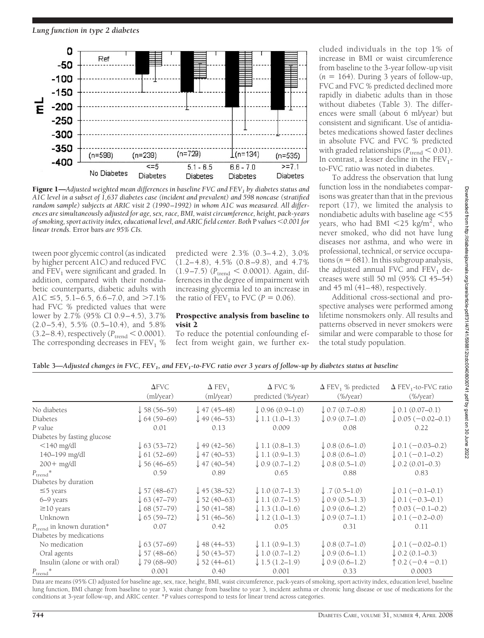

Figure 1—*Adjusted weighted mean differences in baseline FVC and FEV1 by diabetes status and A1C level in a subset of 1,637 diabetes case (incident and prevalent) and 598 noncase (stratified random sample) subjects at ARIC visit 2 (1990 –1992) in whom A1C was measured. All differences are simultaneously adjusted for age, sex, race, BMI, waist circumference, height, pack-years of smoking, sport activity index, educational level, and ARIC field center. Both* P *values 0.001 for linear trends.* Error bars *are 95% CIs.*

tween poor glycemic control (as indicated by higher percent A1C) and reduced FVC and  $FEV<sub>1</sub>$  were significant and graded. In addition, compared with their nondiabetic counterparts, diabetic adults with A1C  $\leq$ 5, 5.1–6.5, 6.6–7.0, and >7.1% had FVC % predicted values that were lower by 2.7% (95% CI 0.9–4.5), 3.7% (2.0–5.4), 5.5% (0.5–10.4), and 5.8%  $(3.2–8.4)$ , respectively ( $P_{trend} < 0.0001$ ). The corresponding decreases in  $FEV<sub>1</sub>$  %

predicted were 2.3% (0.3–4.2), 3.0% (1.2–4.8), 4.5% (0.8–9.8), and 4.7%  $(1.9-7.5)$  ( $P_{trend} < 0.0001$ ). Again, differences in the degree of impairment with increasing glycemia led to an increase in the ratio of  $\text{FEV}_1$  to  $\text{FVC}$   $(P = 0.06)$ .

### Prospective analysis from baseline to visit 2

To reduce the potential confounding effect from weight gain, we further excluded individuals in the top 1% of increase in BMI or waist circumference from baseline to the 3-year follow-up visit  $(n = 164)$ . During 3 years of follow-up, FVC and FVC % predicted declined more rapidly in diabetic adults than in those without diabetes (Table 3). The differences were small (about 6 ml/year) but consistent and significant. Use of antidiabetes medications showed faster declines in absolute FVC and FVC % predicted with graded relationships ( $P_{\text{trend}} < 0.01$ ). In contrast, a lesser decline in the  $FEV_1$ to-FVC ratio was noted in diabetes.

To address the observation that lung function loss in the nondiabetes comparisons was greater than that in the previous report (17), we limited the analysis to nondiabetic adults with baseline age 55 years, who had BMI  $\langle 25 \text{ kg/m}^2 \rangle$ , who never smoked, who did not have lung diseases nor asthma, and who were in professional, technical, or service occupa $tions (n = 681)$ . In this subgroup analysis, the adjusted annual FVC and  $FEV<sub>1</sub>$  decreases were still 50 ml (95% CI 45–54) and 45 ml (41–48), respectively.

Additional cross-sectional and prospective analyses were performed among lifetime nonsmokers only. All results and patterns observed in never smokers were similar and were comparable to those for the total study population.

|                                       | $\Delta$ FVC<br>(ml/year) | $\Delta$ FEV <sub>1</sub><br>(ml/year) | $\Delta$ FVC %<br>predicted (%/year) | $\Delta$ FEV <sub>1</sub> % predicted<br>$(\frac{9}{2}$ /year) | $\Delta$ FEV <sub>1</sub> -to-FVC ratio<br>$(\frac{9}{2}$ /year) |
|---------------------------------------|---------------------------|----------------------------------------|--------------------------------------|----------------------------------------------------------------|------------------------------------------------------------------|
| No diabetes                           | $\downarrow$ 58 (56–59)   | $\downarrow$ 47 (45–48)                | $\downarrow$ 0.96 (0.9–1.0)          | $\downarrow$ 0.7 (0.7–0.8)                                     | $\downarrow$ 0.1 (0.07–0.1)                                      |
| Diabetes                              | $\downarrow$ 64 (59–69)   | $\downarrow$ 49 (46–53)                | $\downarrow$ 1.1 (1.0–1.3)           | $\downarrow$ 0.9 (0.7–1.0)                                     | $\downarrow$ 0.05 (-0.02-0.1)                                    |
| P value                               | 0.01                      | 0.13                                   | 0.009                                | 0.08                                                           | 0.22                                                             |
| Diabetes by fasting glucose           |                           |                                        |                                      |                                                                |                                                                  |
| $<$ 140 mg/dl                         | $\downarrow$ 63 (53–72)   | $\downarrow$ 49 (42–56)                | $\downarrow$ 1.1 (0.8–1.3)           | $\downarrow$ 0.8 (0.6–1.0)                                     | $\downarrow$ 0.1 (-0.03-0.2)                                     |
| 140–199 mg/dl                         | $\downarrow$ 61 (52–69)   | $\downarrow$ 47 (40–53)                | $\downarrow$ 1.1 (0.9–1.3)           | $\downarrow$ 0.8 (0.6–1.0)                                     | $\downarrow$ 0.1 (-0.1-0.2)                                      |
| $200 + mg/dl$                         | $\downarrow$ 56 (46–65)   | $\downarrow$ 47 (40–54)                | $\downarrow$ 0.9 (0.7–1.2)           | $\downarrow$ 0.8 (0.5–1.0)                                     | $\downarrow$ 0.2 (0.01–0.3)                                      |
| $P_{\text{trend}}$ *                  | 0.59                      | 0.89                                   | 0.65                                 | 0.88                                                           | 0.83                                                             |
| Diabetes by duration                  |                           |                                        |                                      |                                                                |                                                                  |
| $\leq$ 5 years                        | $\downarrow$ 57 (48–67)   | $\downarrow$ 45 (38–52)                | $\downarrow$ 1.0 (0.7–1.3)           | $\downarrow$ .7 (0.5–1.0)                                      | $\downarrow$ 0.1 (-0.1-0.1)                                      |
| 6-9 years                             | $\downarrow$ 63 (47–79)   | $\downarrow$ 52 (40–63)                | $\downarrow$ 1.1 (0.7–1.5)           | $\downarrow$ 0.9 (0.5–1.3)                                     | $\downarrow$ 0.1 (-0.3-0.1)                                      |
| $\geq$ 10 years                       | $\downarrow$ 68 (57–79)   | $\downarrow$ 50 (41–58)                | $\downarrow$ 1.3 (1.0–1.6)           | $\downarrow$ 0.9 (0.6–1.2)                                     | $\uparrow$ 0.03 (-0.1-0.2)                                       |
| Unknown                               | $\downarrow$ 65 (59–72)   | $\downarrow$ 51 (46–56)                | $\downarrow$ 1.2 (1.0–1.3)           | $\downarrow$ 0.9 (0.7–1.1)                                     | $\downarrow$ 0.1 (-0.2-0.0)                                      |
| $P_{\text{trend}}$ in known duration* | 0.07                      | 0.42                                   | 0.05                                 | 0.31                                                           | 0.11                                                             |
| Diabetes by medications               |                           |                                        |                                      |                                                                |                                                                  |
| No medication                         | $\downarrow$ 63 (57–69)   | $\downarrow$ 48 (44–53)                | $\downarrow$ 1.1 (0.9–1.3)           | $\downarrow$ 0.8 (0.7–1.0)                                     | $\downarrow$ 0.1 (-0.02-0.1)                                     |
| Oral agents                           | $\downarrow$ 57 (48–66)   | $\downarrow$ 50 (43–57)                | $\downarrow$ 1.0 (0.7–1.2)           | $\downarrow$ 0.9 (0.6–1.1)                                     | $\downarrow$ 0.2 (0.1–0.3)                                       |
| Insulin (alone or with oral)          | $\downarrow$ 79 (68–90)   | $\downarrow$ 52 (44–61)                | $\downarrow$ 1.5 (1.2–1.9)           | $\downarrow$ 0.9 (0.6–1.2)                                     | $\uparrow$ 0.2 (-0.4 -0.1)                                       |
| $P_{\mathrm{trend}}$ *                | 0.001                     | 0.40                                   | 0.001                                | 0.33                                                           | 0.0003                                                           |

Table 3—*Adjusted changes in FVC, FEV<sub>1</sub>, and FEV<sub>1</sub>-to-FVC ratio over 3 years of follow-up by diabetes status at baseline* 

Data are means (95% CI) adjusted for baseline age, sex, race, height, BMI, waist circumference, pack-years of smoking, sport activity index, education level, baseline lung function, BMI change from baseline to year 3, waist change from baseline to year 3, incident asthma or chronic lung disease or use of medications for the conditions at 3-year follow-up, and ARIC center. \**P* values correspond to tests for linear trend across categories.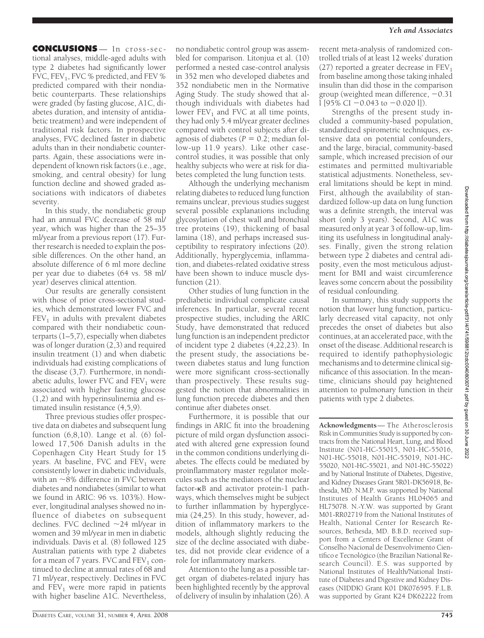**CONCLUSIONS** — In cross-sectional analyses, middle-aged adults with type 2 diabetes had significantly lower FVC, FEV<sub>1</sub>, FVC % predicted, and FEV % predicted compared with their nondiabetic counterparts. These relationships were graded (by fasting glucose, A1C, diabetes duration, and intensity of antidiabetic treatment) and were independent of traditional risk factors. In prospective analyses, FVC declined faster in diabetic adults than in their nondiabetic counterparts. Again, these associations were independent of known risk factors (i.e., age, smoking, and central obesity) for lung function decline and showed graded associations with indicators of diabetes severity.

In this study, the nondiabetic group had an annual FVC decrease of 58 ml/ year, which was higher than the 25–35 ml/year from a previous report (17). Further research is needed to explain the possible differences. On the other hand, an absolute difference of 6 ml more decline per year due to diabetes (64 vs. 58 ml/ year) deserves clinical attention.

Our results are generally consistent with those of prior cross-sectional studies, which demonstrated lower FVC and  $FEV<sub>1</sub>$  in adults with prevalent diabetes compared with their nondiabetic counterparts (1–5,7), especially when diabetes was of longer duration (2,3) and required insulin treatment (1) and when diabetic individuals had existing complications of the disease (3,7). Furthermore, in nondiabetic adults, lower FVC and  $FEV<sub>1</sub>$  were associated with higher fasting glucose (1,2) and with hyperinsulinemia and estimated insulin resistance (4,5,9).

Three previous studies offer prospective data on diabetes and subsequent lung function  $(6,8,10)$ . Lange et al.  $(6)$  followed 17,506 Danish adults in the Copenhagen City Heart Study for 15 years. At baseline, FVC and  $FEV<sub>1</sub>$  were consistently lower in diabetic individuals, with an  $\sim$ 8% difference in FVC between diabetes and nondiabetes (similar to what we found in ARIC: 96 vs. 103%). However, longitudinal analyses showed no influence of diabetes on subsequent declines. FVC declined  $\sim$ 24 ml/year in women and 39 ml/year in men in diabetic individuals. Davis et al. (8) followed 125 Australian patients with type 2 diabetes for a mean of 7 years. FVC and  $FEV<sub>1</sub>$  continued to decline at annual rates of 68 and 71 ml/year, respectively. Declines in FVC and  $FEV<sub>1</sub>$  were more rapid in patients with higher baseline A1C. Nevertheless,

no nondiabetic control group was assembled for comparison. Litonjua et al. (10) performed a nested case-control analysis in 352 men who developed diabetes and 352 nondiabetic men in the Normative Aging Study. The study showed that although individuals with diabetes had lower  $FEV<sub>1</sub>$  and  $FVC$  at all time points, they had only 5.4 ml/year greater declines compared with control subjects after diagnosis of diabetes  $(P = 0.2; \text{ median fol}$ low-up 11.9 years). Like other casecontrol studies, it was possible that only healthy subjects who were at risk for diabetes completed the lung function tests.

Although the underlying mechanism relating diabetes to reduced lung function remains unclear, previous studies suggest several possible explanations including glycosylation of chest wall and bronchial tree proteins (19), thickening of basal lamina (18), and perhaps increased susceptibility to respiratory infections (20). Additionally, hyperglycemia, inflammation, and diabetes-related oxidative stress have been shown to induce muscle dysfunction  $(21)$ .

Other studies of lung function in the prediabetic individual complicate causal inferences. In particular, several recent prospective studies, including the ARIC Study, have demonstrated that reduced lung function is an independent predictor of incident type 2 diabetes (4,22,23). In the present study, the associations between diabetes status and lung function were more significant cross-sectionally than prospectively. These results suggested the notion that abnormalities in lung function precede diabetes and then continue after diabetes onset.

Furthermore, it is possible that our findings in ARIC fit into the broadening picture of mild organ dysfunction associated with altered gene expression found in the common conditions underlying diabetes. The effects could be mediated by proinflammatory master regulator molecules such as the mediators of the nuclear factor- $\kappa$ B and activator protein-1 pathways, which themselves might be subject to further inflammation by hyperglycemia (24,25). In this study, however, addition of inflammatory markers to the models, although slightly reducing the size of the decline associated with diabetes, did not provide clear evidence of a role for inflammatory markers.

Attention to the lung as a possible target organ of diabetes-related injury has been highlighted recently by the approval of delivery of insulin by inhalation (26). A

recent meta-analysis of randomized controlled trials of at least 12 weeks' duration (27) reported a greater decrease in  $FEV<sub>1</sub>$ from baseline among those taking inhaled insulin than did those in the comparison group (weighted mean difference,  $-0.31$  $\frac{1}{95\%}$  CI  $-0.043$  to  $-0.020$  l]).

Strengths of the present study included a community-based population, standardized spirometric techniques, extensive data on potential confounders, and the large, biracial, community-based sample, which increased precision of our estimates and permitted multivariable statistical adjustments. Nonetheless, several limitations should be kept in mind. First, although the availability of standardized follow-up data on lung function was a definite strength, the interval was short (only 3 years). Second, A1C was measured only at year 3 of follow-up, limiting its usefulness in longitudinal analyses. Finally, given the strong relation between type 2 diabetes and central adiposity, even the most meticulous adjustment for BMI and waist circumference leaves some concern about the possibility of residual confounding.

In summary, this study supports the notion that lower lung function, particularly decreased vital capacity, not only precedes the onset of diabetes but also continues, at an accelerated pace, with the onset of the disease. Additional research is required to identify pathophysiologic mechanisms and to determine clinical significance of this association. In the meantime, clinicians should pay heightened attention to pulmonary function in their patients with type 2 diabetes.

**Acknowledgments**— The Atherosclerosis Risk in Communities Study is supported by contracts from the National Heart, Lung, and Blood Institute (N01-HC-55015, N01-HC-55016, N01-HC-55018, N01-HC-55019, N01-HC-55020, N01-HC-55021, and N01-HC-55022) and by National Institute of Diabetes, Digestive, and Kidney Diseases Grant 5R01-DK56918, Bethesda, MD. N.M.P. was supported by National Institutes of Health Grants HL04065 and HL75078. N.-Y.W. was supported by Grant M01-RR02719 from the National Institutes of Health, National Center for Research Resources, Bethesda, MD. B.B.D. received support from a Centers of Excellence Grant of Conselho Nacional de Desenvolvimento Científico e Tecnológico (the Brazilian National Research Council). E.S. was supported by National Institutes of Health/National Institute of Diabetes and Digestive and Kidney Diseases (NIDDK) Grant K01 DK076595. F.L.B. was supported by Grant K24 DK62222 from